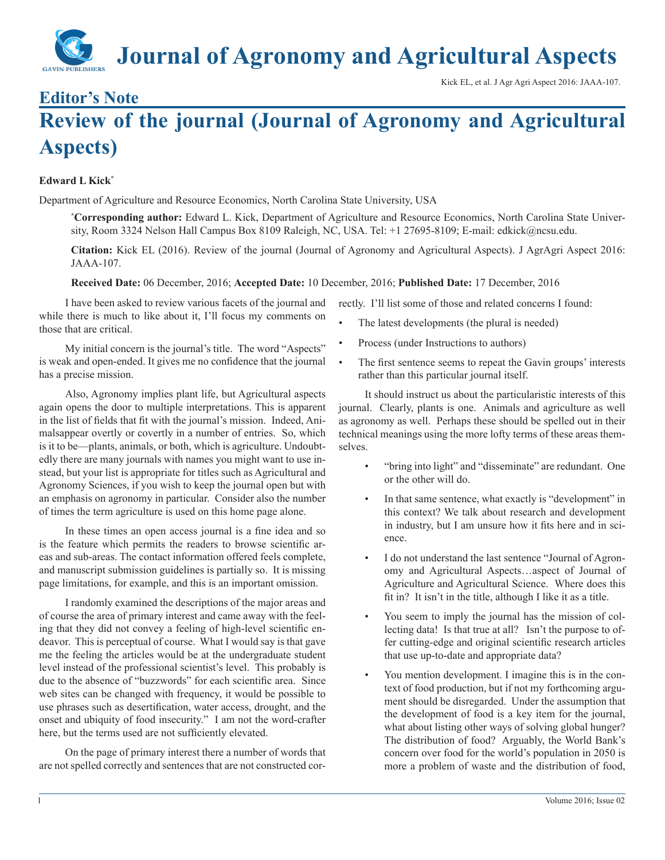## **Journal of Agronomy and Agricultural Aspects**

Kick EL, et al. J Agr Agri Aspect 2016: JAAA-107.

## **Editor's Note**

## **Review of the journal (Journal of Agronomy and Agricultural Aspects)**

## **Edward L Kick\***

Department of Agriculture and Resource Economics, North Carolina State University, USA

**\* Corresponding author:** Edward L. Kick, Department of Agriculture and Resource Economics, North Carolina State University, Room 3324 Nelson Hall Campus Box 8109 Raleigh, NC, USA. Tel: +1 27695-8109; E-mail: edkick@ncsu.edu.

**Citation:** Kick EL (2016). Review of the journal (Journal of Agronomy and Agricultural Aspects). J AgrAgri Aspect 2016: JAAA-107.

**Received Date:** 06 December, 2016; **Accepted Date:** 10 December, 2016; **Published Date:** 17 December, 2016

I have been asked to review various facets of the journal and while there is much to like about it, I'll focus my comments on those that are critical.

My initial concern is the journal's title. The word "Aspects" is weak and open-ended. It gives me no confidence that the journal has a precise mission.

Also, Agronomy implies plant life, but Agricultural aspects again opens the door to multiple interpretations. This is apparent in the list of fields that fit with the journal's mission. Indeed, Animalsappear overtly or covertly in a number of entries. So, which is it to be—plants, animals, or both, which is agriculture. Undoubtedly there are many journals with names you might want to use instead, but your list is appropriate for titles such as Agricultural and Agronomy Sciences, if you wish to keep the journal open but with an emphasis on agronomy in particular. Consider also the number of times the term agriculture is used on this home page alone.

In these times an open access journal is a fine idea and so is the feature which permits the readers to browse scientific areas and sub-areas. The contact information offered feels complete, and manuscript submission guidelines is partially so. It is missing page limitations, for example, and this is an important omission.

I randomly examined the descriptions of the major areas and of course the area of primary interest and came away with the feeling that they did not convey a feeling of high-level scientific endeavor. This is perceptual of course. What I would say is that gave me the feeling the articles would be at the undergraduate student level instead of the professional scientist's level. This probably is due to the absence of "buzzwords" for each scientific area. Since web sites can be changed with frequency, it would be possible to use phrases such as desertification, water access, drought, and the onset and ubiquity of food insecurity." I am not the word-crafter here, but the terms used are not sufficiently elevated.

On the page of primary interest there a number of words that are not spelled correctly and sentences that are not constructed correctly. I'll list some of those and related concerns I found:

- The latest developments (the plural is needed)
- Process (under Instructions to authors)
- The first sentence seems to repeat the Gavin groups' interests rather than this particular journal itself.

It should instruct us about the particularistic interests of this journal. Clearly, plants is one. Animals and agriculture as well as agronomy as well. Perhaps these should be spelled out in their technical meanings using the more lofty terms of these areas themselves.

- "bring into light" and "disseminate" are redundant. One or the other will do.
- In that same sentence, what exactly is "development" in this context? We talk about research and development in industry, but I am unsure how it fits here and in science.
- I do not understand the last sentence "Journal of Agronomy and Agricultural Aspects…aspect of Journal of Agriculture and Agricultural Science. Where does this fit in? It isn't in the title, although I like it as a title.
- You seem to imply the journal has the mission of collecting data! Is that true at all? Isn't the purpose to offer cutting-edge and original scientific research articles that use up-to-date and appropriate data?
- You mention development. I imagine this is in the context of food production, but if not my forthcoming argument should be disregarded. Under the assumption that the development of food is a key item for the journal, what about listing other ways of solving global hunger? The distribution of food? Arguably, the World Bank's concern over food for the world's population in 2050 is more a problem of waste and the distribution of food,